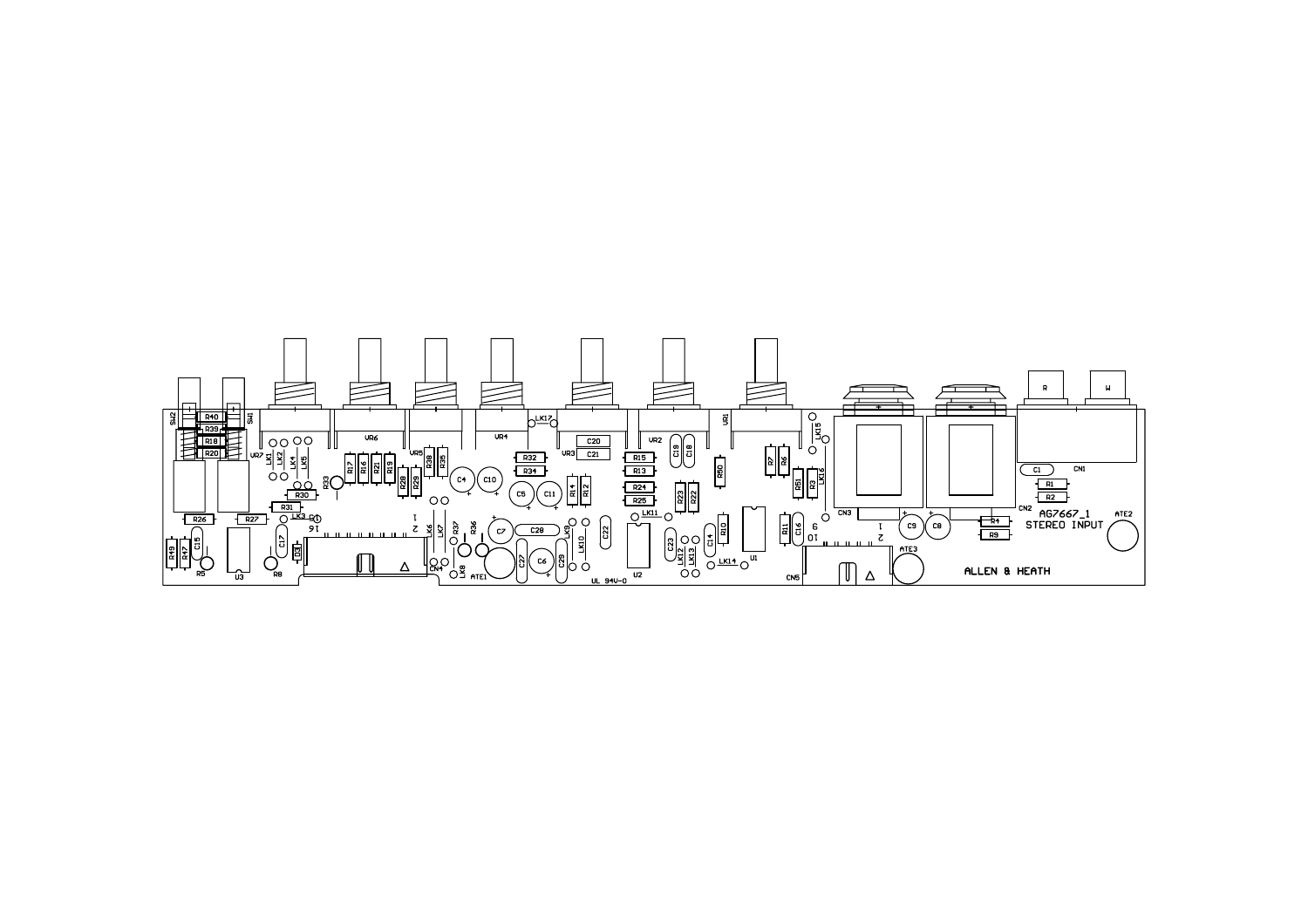